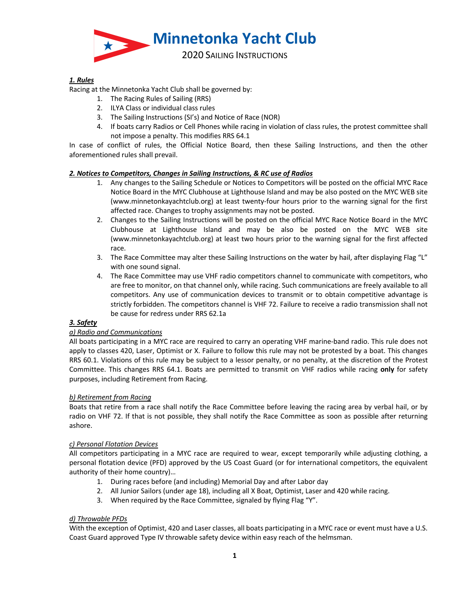

# *1. Rules*

Racing at the Minnetonka Yacht Club shall be governed by:

- 1. The Racing Rules of Sailing (RRS)
- 2. ILYA Class or individual class rules
- 3. The Sailing Instructions (SI's) and Notice of Race (NOR)
- 4. If boats carry Radios or Cell Phones while racing in violation of class rules, the protest committee shall not impose a penalty. This modifies RRS 64.1

In case of conflict of rules, the Official Notice Board, then these Sailing Instructions, and then the other aforementioned rules shall prevail.

### *2. Notices to Competitors, Changes in Sailing Instructions, & RC use of Radios*

- 1. Any changes to the Sailing Schedule or Notices to Competitors will be posted on the official MYC Race Notice Board in the MYC Clubhouse at Lighthouse Island and may be also posted on the MYC WEB site (www.minnetonkayachtclub.org) at least twenty-four hours prior to the warning signal for the first affected race. Changes to trophy assignments may not be posted.
- 2. Changes to the Sailing Instructions will be posted on the official MYC Race Notice Board in the MYC Clubhouse at Lighthouse Island and may be also be posted on the MYC WEB site (www.minnetonkayachtclub.org) at least two hours prior to the warning signal for the first affected race.
- 3. The Race Committee may alter these Sailing Instructions on the water by hail, after displaying Flag "L" with one sound signal.
- 4. The Race Committee may use VHF radio competitors channel to communicate with competitors, who are free to monitor, on that channel only, while racing. Such communications are freely available to all competitors. Any use of communication devices to transmit or to obtain competitive advantage is strictly forbidden. The competitors channel is VHF 72. Failure to receive a radio transmission shall not be cause for redress under RRS 62.1a

#### *3. Safety*

# *a) Radio and Communications*

All boats participating in a MYC race are required to carry an operating VHF marine-band radio. This rule does not apply to classes 420, Laser, Optimist or X. Failure to follow this rule may not be protested by a boat. This changes RRS 60.1. Violations of this rule may be subject to a lessor penalty, or no penalty, at the discretion of the Protest Committee. This changes RRS 64.1. Boats are permitted to transmit on VHF radios while racing **only** for safety purposes, including Retirement from Racing.

# *b) Retirement from Racing*

Boats that retire from a race shall notify the Race Committee before leaving the racing area by verbal hail, or by radio on VHF 72. If that is not possible, they shall notify the Race Committee as soon as possible after returning ashore.

#### *c) Personal Flotation Devices*

All competitors participating in a MYC race are required to wear, except temporarily while adjusting clothing, a personal flotation device (PFD) approved by the US Coast Guard (or for international competitors, the equivalent authority of their home country)…

- 1. During races before (and including) Memorial Day and after Labor day
- 2. All Junior Sailors (under age 18), including all X Boat, Optimist, Laser and 420 while racing.
- 3. When required by the Race Committee, signaled by flying Flag "Y".

# *d) Throwable PFDs*

With the exception of Optimist, 420 and Laser classes, all boats participating in a MYC race or event must have a U.S. Coast Guard approved Type IV throwable safety device within easy reach of the helmsman.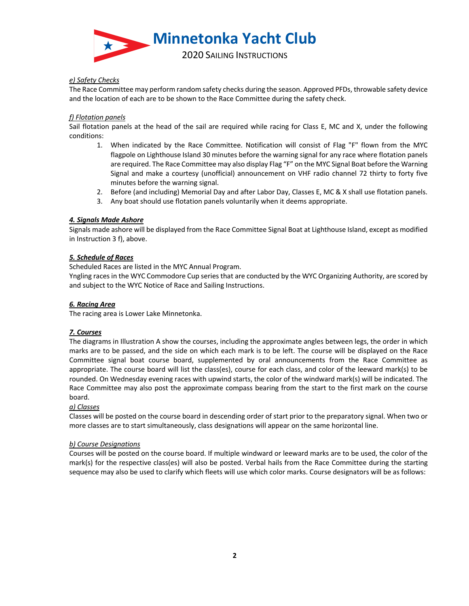

# *e) Safety Checks*

The Race Committee may perform random safety checks during the season. Approved PFDs, throwable safety device and the location of each are to be shown to the Race Committee during the safety check.

### *f) Flotation panels*

Sail flotation panels at the head of the sail are required while racing for Class E, MC and X, under the following conditions:

- 1. When indicated by the Race Committee. Notification will consist of Flag "F" flown from the MYC flagpole on Lighthouse Island 30 minutes before the warning signal for any race where flotation panels are required. The Race Committee may also display Flag "F" on the MYC Signal Boat before the Warning Signal and make a courtesy (unofficial) announcement on VHF radio channel 72 thirty to forty five minutes before the warning signal.
- 2. Before (and including) Memorial Day and after Labor Day, Classes E, MC & X shall use flotation panels.
- 3. Any boat should use flotation panels voluntarily when it deems appropriate.

# *4. Signals Made Ashore*

Signals made ashore will be displayed from the Race Committee Signal Boat at Lighthouse Island, except as modified in Instruction 3 f), above.

# *5. Schedule of Races*

Scheduled Races are listed in the MYC Annual Program.

Yngling races in the WYC Commodore Cup series that are conducted by the WYC Organizing Authority, are scored by and subject to the WYC Notice of Race and Sailing Instructions.

# *6. Racing Area*

The racing area is Lower Lake Minnetonka.

# *7. Courses*

The diagrams in Illustration A show the courses, including the approximate angles between legs, the order in which marks are to be passed, and the side on which each mark is to be left. The course will be displayed on the Race Committee signal boat course board, supplemented by oral announcements from the Race Committee as appropriate. The course board will list the class(es), course for each class, and color of the leeward mark(s) to be rounded. On Wednesday evening races with upwind starts, the color of the windward mark(s) will be indicated. The Race Committee may also post the approximate compass bearing from the start to the first mark on the course board.

# *a) Classes*

Classes will be posted on the course board in descending order of start prior to the preparatory signal. When two or more classes are to start simultaneously, class designations will appear on the same horizontal line.

# *b) Course Designations*

Courses will be posted on the course board. If multiple windward or leeward marks are to be used, the color of the mark(s) for the respective class(es) will also be posted. Verbal hails from the Race Committee during the starting sequence may also be used to clarify which fleets will use which color marks. Course designators will be as follows: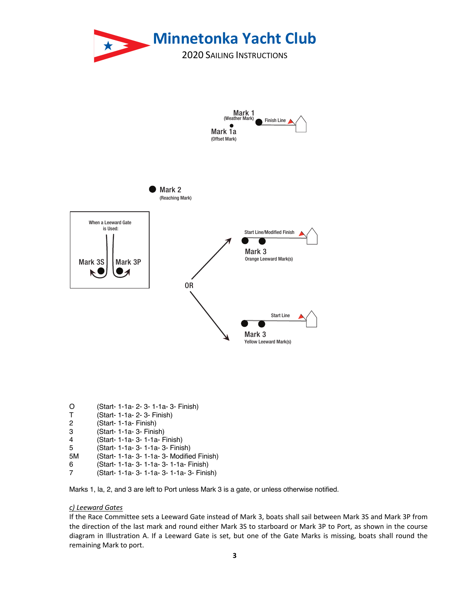

| O |  |  |  |  | (Start- 1-1a- 2- 3- 1-1a- 3- Finish) |  |
|---|--|--|--|--|--------------------------------------|--|
|---|--|--|--|--|--------------------------------------|--|

- T (Start- 1-1a- 2- 3- Finish)
- (Start- 1-1a- Finish)
- 3 (Start- 1-1a- 3- Finish)
- 4 (Start- 1-1a- 3- 1-1a- Finish)
- 5 (Start- 1-1a- 3- 1-1a- 3- Finish)
- 5M (Start- 1-1a- 3- 1-1a- 3- Modified Finish)
- 6 (Start- 1-1a- 3- 1-1a- 3- 1-1a- Finish)
- 7 (Start- 1-1a- 3- 1-1a- 3- 1-1a- 3- Finish)

Marks 1, la, 2, and 3 are left to Port unless Mark 3 is a gate, or unless otherwise notified.

#### *c) Leeward Gates*

If the Race Committee sets a Leeward Gate instead of Mark 3, boats shall sail between Mark 3S and Mark 3P from the direction of the last mark and round either Mark 3S to starboard or Mark 3P to Port, as shown in the course diagram in Illustration A. If a Leeward Gate is set, but one of the Gate Marks is missing, boats shall round the remaining Mark to port.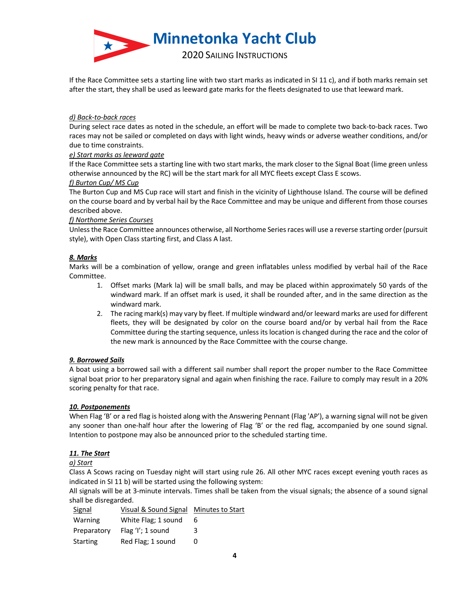

If the Race Committee sets a starting line with two start marks as indicated in SI 11 c), and if both marks remain set after the start, they shall be used as leeward gate marks for the fleets designated to use that leeward mark.

### *d) Back-to-back races*

During select race dates as noted in the schedule, an effort will be made to complete two back-to-back races. Two races may not be sailed or completed on days with light winds, heavy winds or adverse weather conditions, and/or due to time constraints.

### *e) Start marks as leeward gate*

If the Race Committee sets a starting line with two start marks, the mark closer to the Signal Boat (lime green unless otherwise announced by the RC) will be the start mark for all MYC fleets except Class E scows.

### *f) Burton Cup/ MS Cup*

The Burton Cup and MS Cup race will start and finish in the vicinity of Lighthouse Island. The course will be defined on the course board and by verbal hail by the Race Committee and may be unique and different from those courses described above.

### *f) Northome Series Courses*

Unless the Race Committee announces otherwise, all Northome Series races will use a reverse starting order(pursuit style), with Open Class starting first, and Class A last.

# *8. Marks*

Marks will be a combination of yellow, orange and green inflatables unless modified by verbal hail of the Race Committee.

- 1. Offset marks (Mark la) will be small balls, and may be placed within approximately 50 yards of the windward mark. If an offset mark is used, it shall be rounded after, and in the same direction as the windward mark.
- 2. The racing mark(s) may vary by fleet. If multiple windward and/or leeward marks are used for different fleets, they will be designated by color on the course board and/or by verbal hail from the Race Committee during the starting sequence, unless its location is changed during the race and the color of the new mark is announced by the Race Committee with the course change.

# *9. Borrowed Sails*

A boat using a borrowed sail with a different sail number shall report the proper number to the Race Committee signal boat prior to her preparatory signal and again when finishing the race. Failure to comply may result in a 20% scoring penalty for that race.

# *10. Postponements*

When Flag 'B' or a red flag is hoisted along with the Answering Pennant (Flag 'AP'), a warning signal will not be given any sooner than one-half hour after the lowering of Flag 'B' or the red flag, accompanied by one sound signal. Intention to postpone may also be announced prior to the scheduled starting time.

# *11. The Start*

# *a) Start*

Class A Scows racing on Tuesday night will start using rule 26. All other MYC races except evening youth races as indicated in SI 11 b) will be started using the following system:

All signals will be at 3-minute intervals. Times shall be taken from the visual signals; the absence of a sound signal shall be disregarded.

| Signal      | Visual & Sound Signal Minutes to Start |   |
|-------------|----------------------------------------|---|
| Warning     | White Flag: 1 sound                    | 6 |
| Preparatory | Flag 'I'; 1 sound                      | 3 |
| Starting    | Red Flag; 1 sound                      | O |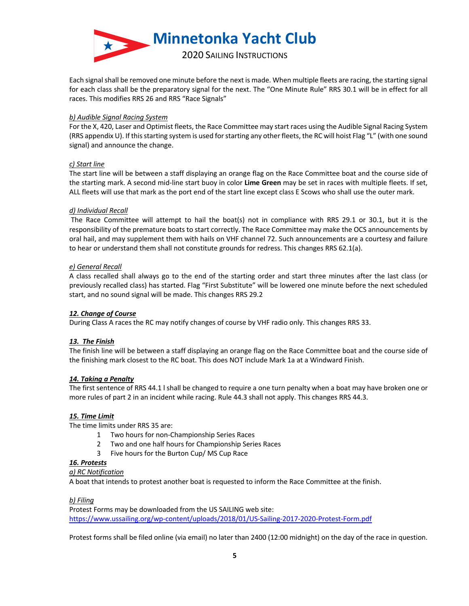

Each signal shall be removed one minute before the next is made. When multiple fleets are racing, the starting signal for each class shall be the preparatory signal for the next. The "One Minute Rule" RRS 30.1 will be in effect for all races. This modifies RRS 26 and RRS "Race Signals"

### *b) Audible Signal Racing System*

For the X, 420, Laser and Optimist fleets, the Race Committee may start races using the Audible Signal Racing System (RRS appendix U). If this starting system is used for starting any other fleets, the RC will hoist Flag "L" (with one sound signal) and announce the change.

### *c) Start line*

The start line will be between a staff displaying an orange flag on the Race Committee boat and the course side of the starting mark. A second mid-line start buoy in color **Lime Green** may be set in races with multiple fleets. If set, ALL fleets will use that mark as the port end of the start line except class E Scows who shall use the outer mark.

### *d) Individual Recall*

The Race Committee will attempt to hail the boat(s) not in compliance with RRS 29.1 or 30.1, but it is the responsibility of the premature boats to start correctly. The Race Committee may make the OCS announcements by oral hail, and may supplement them with hails on VHF channel 72. Such announcements are a courtesy and failure to hear or understand them shall not constitute grounds for redress. This changes RRS 62.1(a).

### *e) General Recall*

A class recalled shall always go to the end of the starting order and start three minutes after the last class (or previously recalled class) has started. Flag "First Substitute" will be lowered one minute before the next scheduled start, and no sound signal will be made. This changes RRS 29.2

# *12. Change of Course*

During Class A races the RC may notify changes of course by VHF radio only. This changes RRS 33.

# *13. The Finish*

The finish line will be between a staff displaying an orange flag on the Race Committee boat and the course side of the finishing mark closest to the RC boat. This does NOT include Mark 1a at a Windward Finish.

#### *14. Taking a Penalty*

The first sentence of RRS 44.1 l shall be changed to require a one turn penalty when a boat may have broken one or more rules of part 2 in an incident while racing. Rule 44.3 shall not apply. This changes RRS 44.3.

#### *15. Time Limit*

The time limits under RRS 35 are:

- 1 Two hours for non-Championship Series Races
- 2 Two and one half hours for Championship Series Races
- 3 Five hours for the Burton Cup/ MS Cup Race

#### *16. Protests*

#### *a) RC Notification*

A boat that intends to protest another boat is requested to inform the Race Committee at the finish.

#### *b) Filing*

Protest Forms may be downloaded from the US SAILING web site: https://www.ussailing.org/wp-content/uploads/2018/01/US-Sailing-2017-2020-Protest-Form.pdf

Protest forms shall be filed online (via email) no later than 2400 (12:00 midnight) on the day of the race in question.